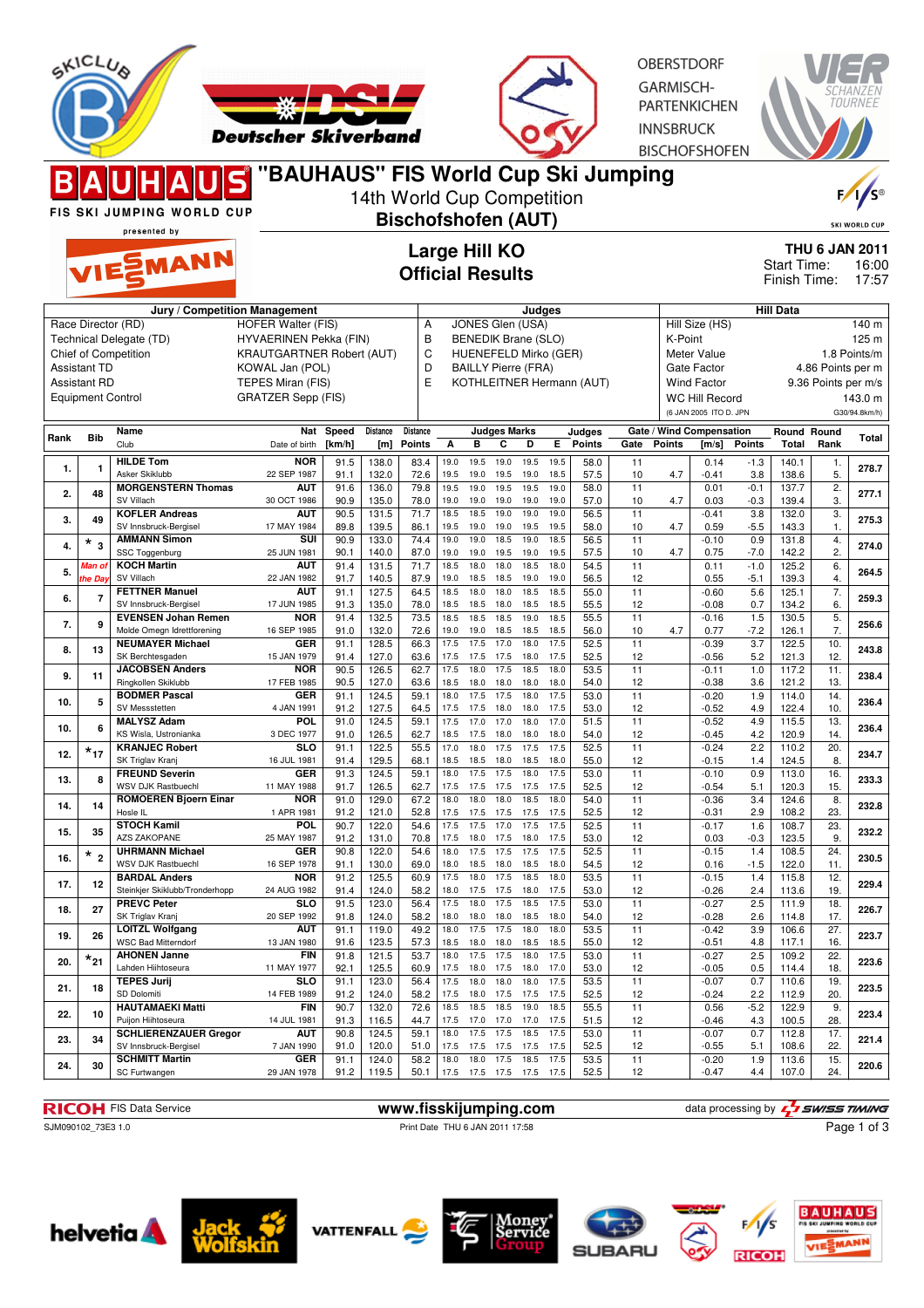

**RICOH** FIS Data Service **www.fisskijumping.com** data processing by  $\frac{7}{2}$  SWISS TIMING

SJM090102\_73E3 1.0 Print Date THU 6 JAN 2011 17:58

Page 1 of 3













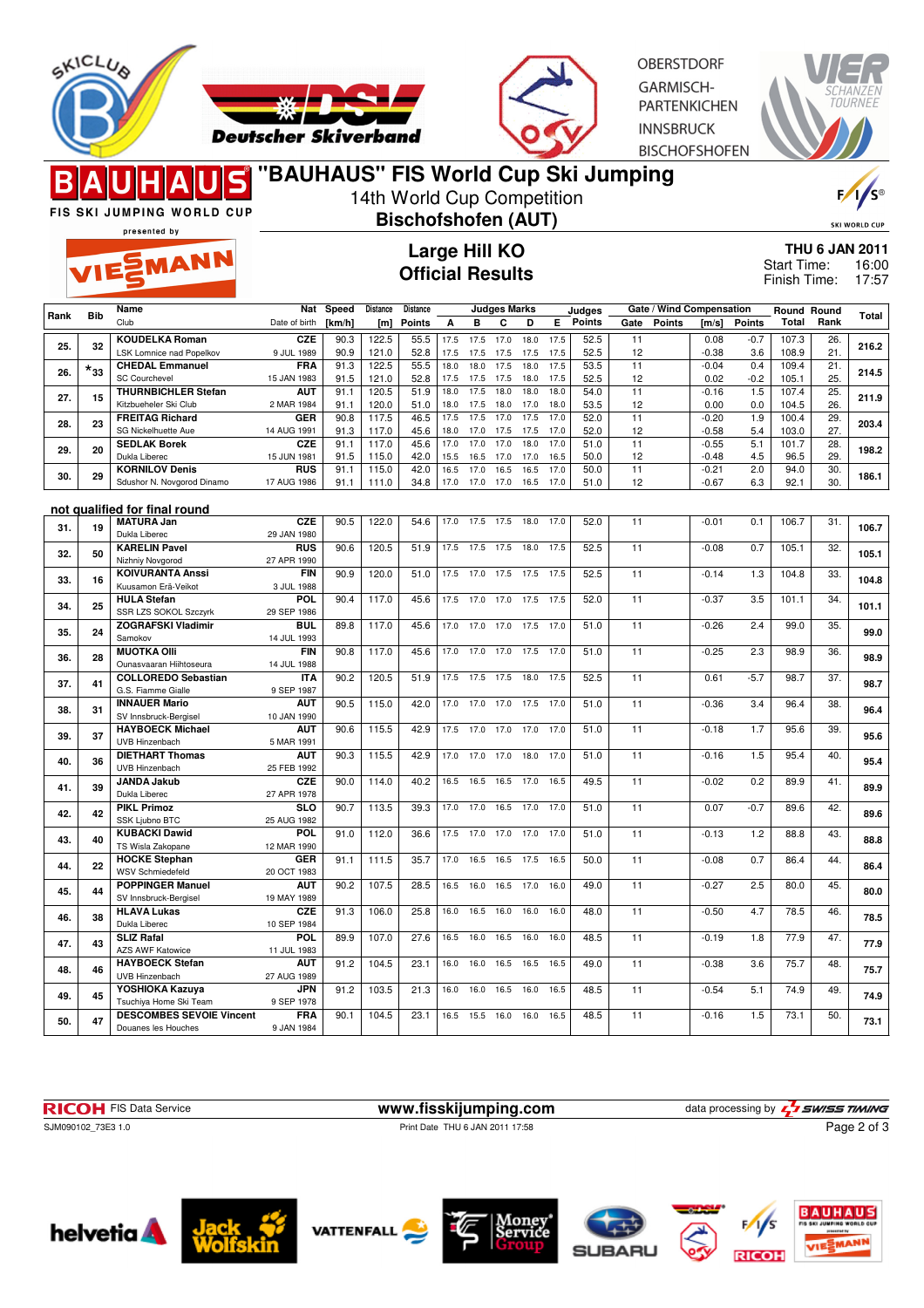



**OBERSTDORF** GARMISCH-**PARTENKICHEN INNSBRUCK BISCHOFSHOFEN** 



| D<br>FIS SKI JUMPING WORLD CUP<br>presented by |              | o mona oap om oan<br>14th World Cup Competition<br><b>Bischofshofen (AUT)</b><br>Large Hill KO<br><b>Official Results</b> |                           |                 |                 |                    |              |                     |                   | F/1/s<br><b>SKI WORLD CUP</b> |                                                                        |                  |          |                                    |                    |               |                             |            |       |
|------------------------------------------------|--------------|---------------------------------------------------------------------------------------------------------------------------|---------------------------|-----------------|-----------------|--------------------|--------------|---------------------|-------------------|-------------------------------|------------------------------------------------------------------------|------------------|----------|------------------------------------|--------------------|---------------|-----------------------------|------------|-------|
| VIESMANN                                       |              |                                                                                                                           |                           |                 |                 |                    |              |                     |                   |                               | <b>THU 6 JAN 2011</b><br>Start Time:<br>16:00<br>Finish Time:<br>17:57 |                  |          |                                    |                    |               |                             |            |       |
| Rank                                           | <b>Bib</b>   | Name<br>Club                                                                                                              | Nat<br>Date of birth      | Speed<br>[km/h] | Distance<br>[m] | Distance<br>Points | А            | в                   | Judges Marks<br>С | D                             | E.                                                                     | Judges<br>Points | Gate     | Gate / Wind Compensation<br>Points | [m/s]              | Points        | Round Round<br><b>Total</b> | Rank       | Total |
| 25.                                            | 32           | <b>KOUDELKA Roman</b><br><b>LSK Lomnice nad Popelkov</b>                                                                  | <b>CZE</b><br>9 JUL 1989  | 90.3<br>90.9    | 122.5<br>121.0  | 55.5<br>52.8       | 17.5<br>17.5 | 17.5<br>17.5        | 17.0<br>17.5      | 18.0<br>17.5                  | 17.5<br>17.5                                                           | 52.5<br>52.5     | 11<br>12 |                                    | 0.08<br>$-0.38$    | $-0.7$<br>3.6 | 107.3<br>108.9              | 26.<br>21. | 216.2 |
| 26.                                            | $\star_{33}$ | <b>CHEDAL Emmanuel</b><br><b>SC Courchevel</b>                                                                            | <b>FRA</b><br>15 JAN 1983 | 91.3<br>91.5    | 122.5<br>121.0  | 55.5<br>52.8       | 18.0<br>17.5 | 18.0<br>17.5        | 17.5<br>17.5      | 18.0<br>18.0                  | 17.5<br>17.5                                                           | 53.5<br>52.5     | 11<br>12 |                                    | $-0.04$<br>0.02    | 0.4<br>$-0.2$ | 109.4<br>105.1              | 21.<br>25. | 214.5 |
| 27.                                            | 15           | <b>THURNBICHLER Stefan</b><br>Kitzbueheler Ski Club                                                                       | <b>AUT</b><br>2 MAR 1984  | 91.1<br>91.1    | 120.5<br>120.0  | 51.9<br>51.0       | 18.0<br>18.0 | 17.5<br>17.5        | 18.0<br>18.0      | 18.0<br>17.0                  | 18.0<br>18.0                                                           | 54.0<br>53.5     | 11<br>12 |                                    | $-0.16$<br>0.00    | 1.5<br>0.0    | 107.4<br>104.5              | 25.<br>26. | 211.9 |
| 28.                                            | 23           | <b>FREITAG Richard</b>                                                                                                    | GER                       | 90.8            | 117.5           | 46.5               | 17.5         | 17.5                | 17.0              | 17.5                          | 17.0                                                                   | 52.0             | 11       |                                    | $-0.20$            | 1.9           | 100.4                       | 29.        | 203.4 |
| 29.                                            | 20           | SG Nickelhuette Aue<br><b>SEDLAK Borek</b>                                                                                | 14 AUG 1991<br><b>CZE</b> | 91.3<br>91.1    | 117.0<br>117.0  | 45.6<br>45.6       | 18.0<br>17.0 | 17.0<br>17.0        | 17.5<br>17.0      | 17.5<br>18.0                  | 17.0<br>17.0                                                           | 52.0<br>51.0     | 12<br>11 |                                    | $-0.58$<br>$-0.55$ | 5.4<br>5.1    | 103.0<br>101.7              | 27.<br>28. | 198.2 |
| 30.                                            | 29           | Dukla Liberec<br><b>KORNILOV Denis</b>                                                                                    | 15 JUN 1981<br><b>RUS</b> | 91.5<br>91.1    | 115.0<br>115.0  | 42.0<br>42.0       | 15.5<br>16.5 | 16.5<br>17.0        | 17.0<br>16.5      | 17.0<br>16.5                  | 16.5<br>17.0                                                           | 50.0<br>50.0     | 12<br>11 |                                    | $-0.48$<br>$-0.21$ | 4.5<br>2.0    | 96.5<br>94.0                | 29.<br>30. | 186.1 |
|                                                |              | Sdushor N. Novgorod Dinamo                                                                                                | 17 AUG 1986               | 91.1            | 111.0           | 34.8               | 17.0         | 17.0                | 17.0              | 16.5                          | 17.0                                                                   | 51.0             | 12       |                                    | $-0.67$            | 6.3           | 92.1                        | 30.        |       |
| 31.                                            | 19           | not qualified for final round<br><b>MATURA Jan</b>                                                                        | <b>CZE</b>                | 90.5            | 122.0           | 54.6               | 17.0         | 17.5                | 17.5              | 18.0                          | 17.0                                                                   | 52.0             | 11       |                                    | $-0.01$            | 0.1           | 106.7                       | 31.        | 106.7 |
| 32.                                            | 50           | Dukla Liberec<br><b>KARELIN Pavel</b>                                                                                     | 29 JAN 1980<br><b>RUS</b> | 90.6            | 120.5           | 51.9               | 17.5         | 17.5                | 17.5              | 18.0                          | 17.5                                                                   | 52.5             | 11       |                                    | $-0.08$            | 0.7           | 105.1                       | 32.        | 105.1 |
| 33.                                            | 16           | Nizhniy Novgorod<br><b>KOIVURANTA Anssi</b>                                                                               | 27 APR 1990<br><b>FIN</b> | 90.9            | 120.0           | 51.0               | 17.5         | 17.0                | 17.5              | 17.5                          | 17.5                                                                   | 52.5             | 11       |                                    | $-0.14$            | 1.3           | 104.8                       | 33.        | 104.8 |
| 34.                                            | 25           | Kuusamon Erä-Veikot<br><b>HULA Stefan</b>                                                                                 | 3 JUL 1988<br><b>POL</b>  | 90.4            | 117.0           | 45.6               | 17.5         | 17.0                | 17.0              | 17.5                          | 17.5                                                                   | 52.0             | 11       |                                    | $-0.37$            | 3.5           | 101.1                       | 34.        | 101.1 |
| 35.                                            | 24           | SSR LZS SOKOL Szczyrk<br><b>ZOGRAFSKI Vladimir</b>                                                                        | 29 SEP 1986<br><b>BUL</b> | 89.8            | 117.0           | 45.6               | 17.0         | 17.0                | 17.0              | 17.5                          | 17.0                                                                   | 51.0             | 11       |                                    | $-0.26$            | 2.4           | 99.0                        | 35.        | 99.0  |
| 36.                                            | 28           | Samokov<br><b>MUOTKA OIII</b>                                                                                             | 14 JUL 1993<br>FIN        | 90.8            | 117.0           | 45.6               | 17.0         | 17.0                | 17.0              | 17.5                          | 17.0                                                                   | 51.0             | 11       |                                    | $-0.25$            | 2.3           | 98.9                        | 36.        | 98.9  |
| 37.                                            | 41           | Ounasvaaran Hiihtoseura<br><b>COLLOREDO Sebastian</b>                                                                     | 14 JUL 1988<br><b>ITA</b> | 90.2            | 120.5           | 51.9               | 17.5         | 17.5                | 17.5              | 18.0                          | 17.5                                                                   | 52.5             | 11       |                                    | 0.61               | $-5.7$        | 98.7                        | 37.        | 98.7  |
|                                                |              | G.S. Fiamme Gialle<br><b>INNAUER Mario</b>                                                                                | 9 SEP 1987<br>AUT         | 90.5            | 115.0           | 42.0               | 17.0         | 17.0                | 17.0              | 17.5                          | 17.0                                                                   | 51.0             | 11       |                                    | $-0.36$            | 3.4           | 96.4                        | 38.        |       |
| 38.                                            | 31           | SV Innsbruck-Bergisel<br><b>HAYBOECK Michael</b>                                                                          | 10 JAN 1990<br><b>AUT</b> | 90.6            | 115.5           | 42.9               | 17.5         | 17.0                | 17.0              | 17.0                          | 17.0                                                                   | 51.0             | 11       |                                    | $-0.18$            | 1.7           | 95.6                        | 39.        | 96.4  |
| 39.                                            | 37           | UVB Hinzenbach<br><b>DIETHART Thomas</b>                                                                                  | 5 MAR 1991<br><b>AUT</b>  | 90.3            | 115.5           | 42.9               | 17.0         | 17.0                | 17.0              | 18.0                          | 17.0                                                                   | 51.0             | 11       |                                    | $-0.16$            | 1.5           | 95.4                        | 40.        | 95.6  |
| 40.                                            | 36           | UVB Hinzenbach<br><b>JANDA Jakub</b>                                                                                      | 25 FEB 1992<br><b>CZE</b> | 90.0            | 114.0           | 40.2               | 16.5         | 16.5                | 16.5              | 17.0                          | 16.5                                                                   | 49.5             | 11       |                                    | $-0.02$            | 0.2           | 89.9                        | 41.        | 95.4  |
| 41.                                            | 39           | Dukla Liberec<br><b>PIKL Primoz</b>                                                                                       | 27 APR 1978<br><b>SLO</b> | 90.7            | 113.5           | 39.3               | 17.0         | 17.0                | 16.5              | 17.0                          | 17.0                                                                   | 51.0             | 11       |                                    | 0.07               | $-0.7$        | 89.6                        | 42.        | 89.9  |
| 42.                                            | 42           | <b>SSK Ljubno BTC</b><br><b>KUBACKI Dawid</b>                                                                             | 25 AUG 1982<br><b>POL</b> | 91.0            | 112.0           | 36.6               | 17.5         | 17.0                | 17.0              | 17.0                          | 17.0                                                                   | 51.0             | 11       |                                    | $-0.13$            | 1.2           | 88.8                        | 43.        | 89.6  |
| 43.                                            | 40           | TS Wisla Zakopane                                                                                                         | 12 MAR 1990<br><b>GER</b> |                 |                 |                    |              |                     |                   |                               |                                                                        |                  |          |                                    |                    | 0.7           |                             |            | 88.8  |
| 44.                                            | 22           | <b>HOCKE Stephan</b><br>WSV Schmiedefeld                                                                                  | 20 OCT 1983               | 91.1            | 111.5           | 35.7               | 17.0         | 16.5                | 16.5              | 17.5                          | 16.5                                                                   | 50.0             | 11       |                                    | $-0.08$            |               | 86.4                        | 44.        | 86.4  |
| 45.                                            | 44           | <b>POPPINGER Manuel</b><br>SV Innsbruck-Bergisel                                                                          | <b>AUT</b><br>19 MAY 1989 | 90.2            | 107.5           | 28.5               | 16.5         |                     | 16.0 16.5 17.0    |                               | 16.0                                                                   | 49.0             | 11       |                                    | $-0.27$            | 2.5           | 80.0                        | 45.        | 80.0  |
| 46.                                            | 38           | <b>HLAVA Lukas</b><br>Dukla Liberec                                                                                       | CZE<br>10 SEP 1984        | 91.3            | 106.0           | 25.8               | 16.0         |                     | 16.5 16.0 16.0    |                               | 16.0                                                                   | 48.0             | 11       |                                    | $-0.50$            | 4.7           | 78.5                        | 46.        | 78.5  |
| 47.                                            | 43           | <b>SLIZ Rafal</b><br>AZS AWF Katowice                                                                                     | POL<br>11 JUL 1983        | 89.9            | 107.0           | 27.6               |              | 16.5 16.0 16.5 16.0 |                   |                               | 16.0                                                                   | 48.5             | 11       |                                    | $-0.19$            | 1.8           | 77.9                        | 47.        | 77.9  |
| 48.                                            | 46           | <b>HAYBOECK Stefan</b><br>UVB Hinzenbach                                                                                  | <b>AUT</b><br>27 AUG 1989 | 91.2            | 104.5           | 23.1               |              | 16.0 16.0 16.5 16.5 |                   |                               | 16.5                                                                   | 49.0             | 11       |                                    | $-0.38$            | 3.6           | 75.7                        | 48.        | 75.7  |
| 49.                                            | 45           | YOSHIOKA Kazuya<br>Tsuchiya Home Ski Team                                                                                 | JPN<br>9 SEP 1978         | 91.2            | 103.5           | 21.3               | 16.0         |                     | 16.0 16.5 16.0    |                               | 16.5                                                                   | 48.5             | 11       |                                    | $-0.54$            | 5.1           | 74.9                        | 49.        | 74.9  |
| 50.                                            | 47           | <b>DESCOMBES SEVOIE Vincent</b>                                                                                           | <b>FRA</b><br>14514004    | 90.1            | 104.5           | 23.1               |              | 16.5 15.5 16.0      |                   | 16.0                          | 16.5                                                                   | 48.5             | 11       |                                    | $-0.16$            | 1.5           | 73.1                        | 50.        | 73.1  |

**RICOH** FIS Data Service **www.fisskijumping.com** data processing by  $\frac{7}{2}$  **swiss TIMING** 

Douanes les Houches

SJM090102\_73E3 1.0 Print Date THU 6 JAN 2011 17:58

Page 2 of 3





9 JAN 1984